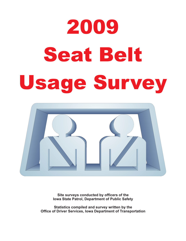# 2009 Seat Belt Seat Belti Belti Belti Belti Belti Belti Belti Belti Belti Belti Belti Belti Belti Belti Belti Belti Belti Be<br>Seat Belti Belti Belti Belti Belti Belti Belti Belti Belti Belti Belti Belti Belti Belti Belti Belti Belti Bel



**Site surveys conducted by officers of the Iowa State Patrol, Department of Public Safety**

**Statistics compiled and survey written by the Office of Driver Services, Iowa Department of Transportation**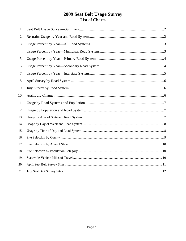#### 2009 Seat Belt Usage Survey List of Charts

| 1.  |  |
|-----|--|
| 2.  |  |
| 3.  |  |
| 4.  |  |
| 5.  |  |
| 6.  |  |
| 7.  |  |
| 8.  |  |
| 9.  |  |
| 10. |  |
| 11. |  |
| 12. |  |
| 13. |  |
| 14. |  |
| 15. |  |
| 16. |  |
| 17. |  |
| 18. |  |
| 19. |  |
| 20. |  |
| 21. |  |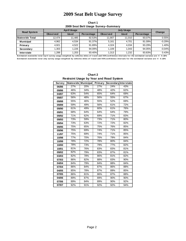#### **2010 Sat Belt Usage Survey 2009 Seat Belt Usage Survey**

**Chart 1 2009 Seat Belt Usage Survey--Summary**

| <b>Road System</b> | <b>April Usage</b> |             |            |                 | Change      |            |          |
|--------------------|--------------------|-------------|------------|-----------------|-------------|------------|----------|
|                    | <b>Observed</b>    | <b>Used</b> | Percentage | <b>Observed</b> | <b>Used</b> | Percentage |          |
| l Statewide Total  | 12.474             | 11.485      | 92.53%     | 11.907          | 11.010      | 93.07%     | 0.55%    |
| <b>Municipal</b>   | 4.962              | 4.534       | 91.37%     | 5.161           | 4.701       | 91.09%     | $-0.29%$ |
| Primary            | 4.921              | 4.522       | 91.89%     | 4.324           | 4.034       | 93.29%     | 1.40%    |
| Secondary          | 1.303              | 1.226       | 94.09%     | 1.109           | 1.043       | 94.05%     | $-0.04%$ |
| <b>Interstate</b>  | 1,288              | 1,203       | 93.40%     | 1,313           | 1,232       | 93.83%     | 0.43%    |

**Estimated statewide total April survey usage weighted by vehicles miles of travel and 95% confidence intervals for the estimated variance are +/- 0.15%** Estimated statewide total July survey usage weighted by vehicles miles of travel and 95% confidence intervals for the estimated variance are +/- 0.15%

|        | Restraint Usage by Tear and Road System |                     |         |                             |     |
|--------|-----------------------------------------|---------------------|---------|-----------------------------|-----|
| Survey |                                         | Statewide Municipal | Primary | <b>Secondary Interstate</b> |     |
| 06/86  | 27%                                     | 20%                 | 27%     | 24%                         | 43% |
| 09/86  | 46%                                     | 34%                 | 48%     | 42%                         | 62% |
| 04/87  | 63%                                     | 54%                 | 65%     | 64%                         | 69% |
| 09/87  | 56%                                     | 48%                 | 56%     | 55%                         | 67% |
| 09/88  | 55%                                     | 46%                 | 55%     | 52%                         | 69% |
| 09/89  | 59%                                     | 49%                 | 56%     | 61%                         | 72% |
| 09/90  | 61%                                     | 49%                 | 60%     | 61%                         | 76% |
| 09/91  | 68%                                     | 64%                 | 64%     | 64%                         | 79% |
| 09/92  | 71%                                     | 62%                 | 69%     | 71%                         | 83% |
| 09/93  | 73%                                     | 59%                 | 73%     | 71%                         | 80% |
| 09/94  | 73%                                     | 63%                 | 72%     | 72%                         | 82% |
| 09/95  | 75%                                     | 65%                 | 75%     | 76%                         | 85% |
| 09/96  | 75%                                     | 69%                 | 74%     | 71%                         | 85% |
| 11/97  | 75%                                     | 69%                 | 74%     | 71%                         | 85% |
| 10/98  | 77%                                     | 70%                 | 76%     | 79%                         | 84% |
| 10/99  | 78%                                     | 72%                 | 78%     | 80%                         | 84% |
| 10/00  | 78%                                     | 73%                 | 79%     | 77%                         | 82% |
| 10/01  | 81%                                     | 76%                 | 83%     | 83%                         | 81% |
| 09/02  | 82%                                     | 79%                 | 83%     | 87%                         | 81% |
| 03/03  | 82%                                     | 78%                 | 86%     | 81%                         | 82% |
| 07/03  | 86%                                     | 82%                 | 88%     | 83%                         | 90% |
| 04/04  | 84%                                     | 79%                 | 84%     | 88%                         | 84% |
| 07/04  | 86%                                     | 84%                 | 87%     | 86%                         | 88% |
| 04/05  | 85%                                     | 78%                 | 87%     | 89%                         | 85% |
| 07/05  | 86%                                     | 81%                 | 86%     | 87%                         | 88% |
| 04/06  | 89%                                     | 87%                 | 89%     | 90%                         | 90% |
| 07/06  | 89%                                     | 84%                 | 89%     | 90%                         | 92% |
| 07/07  | 92%                                     | 91%                 | 92%     | 92%                         | 94% |

**Chart 2 Restraint Usage by Year and Road System**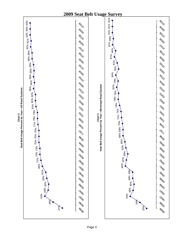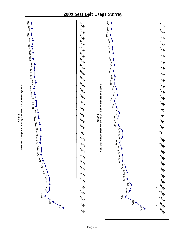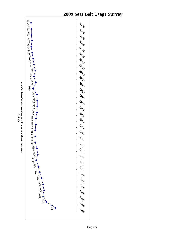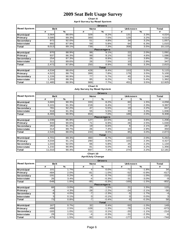**Chart 8 April Survey by Road System**

|                    |             |               |                 | <b>Drivers</b>    |                 |               |                  |
|--------------------|-------------|---------------|-----------------|-------------------|-----------------|---------------|------------------|
| <b>Road System</b> | <b>Belt</b> |               | <b>None</b>     |                   | <b>Unknown</b>  | Total         |                  |
|                    | #           | $\frac{9}{6}$ | #               | %                 | #               | $\frac{9}{6}$ | #                |
| <b>Municipal</b>   | 3,564       | 88.6%         | 329             | 8.2%              | 131             | 3.3%          | 4,024            |
| Primary            | 3,585       | 89.3%         | 300             | 7.5%              | 129             | 3.2%          | 4,014            |
| Secondary          | 972         | 92.0%         | 51              | 4.8%              | 34              | 3.2%          | 1,057            |
| <b>Interstate</b>  | 892         | 87.9%         | 59              | 5.8%              | 64              | 6.3%          | 1,015            |
| Total              | 9,013       | 89.1%         | 739             | 7.3%              | 358             | 3.5%          | 10, 110          |
|                    |             |               |                 | <b>Passengers</b> |                 |               |                  |
| <b>Municipal</b>   | 970         | 88.9%         | 99              | 9.1%              | 22              | 2.0%          | 1,091            |
| Primary            | 937         | 86.3%         | 99              | 9.1%              | 50              | 4.6%          | 1,086            |
| Secondary          | 254         | 87.3%         | 26              | 8.9%              | 11              | 3.8%          | 291              |
| Interstate         | 311         | 89.6%         | $\overline{26}$ | 7.5%              | 10 <sup>1</sup> | 2.9%          | $\overline{347}$ |
| Total              | 2,472       | 87.8%         | 250             | 8.9%              | 93              | 3.3%          | 2,815            |
|                    |             |               |                 | <b>Total</b>      |                 |               |                  |
| <b>Municipal</b>   | 4,534       | 88.6%         | 428             | 8.4%              | 153             | 3.0%          | 5,115            |
| Primary            | 4,522       | 88.7%         | 399             | 7.8%              | 179             | 3.5%          | 5,100            |
| Secondary          | 1,226       | 90.9%         | 77              | 5.7%              | 45              | 3.3%          | 1,348            |
| <b>Interstate</b>  | 1,203       | 88.3%         | 85              | 6.2%              | 74              | 5.4%          | 1,362            |
| Total              | 11,485      | 88.9%         | 989             | 7.7%              | 451             | 3.5%          | 12,925           |

#### **Chart 9**

**July Survey by Road System**

|                    |             |       |             | <b>Drivers</b>    |                 |              |        |
|--------------------|-------------|-------|-------------|-------------------|-----------------|--------------|--------|
| <b>Road System</b> | <b>Belt</b> |       | <b>None</b> |                   | <b>Unknown</b>  | <b>Total</b> |        |
|                    | #           | %     | #           | %                 | #               | %            | #      |
| <b>Municipal</b>   | 3,665       | 90.3% | 333         | 8.2%              | 60              | 1.5%         | 4,058  |
| Primary            | 3,101       | 91.3% | 219         | 6.4%              | 77              | 2.3%         | 3,397  |
| <b>Secondary</b>   | 781         | 92.2% | 47          | 5.5%              | 19 <sup>1</sup> | 2.2%         | 847    |
| <b>Interstate</b>  | 918         | 91.3% | 55          | 5.5%              | 33 <sub>1</sub> | 3.3%         | 1,006  |
| Total              | 8,465       | 90.9% | 654         | 7.0%              | 189             | 2.0%         | 9,308  |
|                    |             |       |             | <b>Passengers</b> |                 |              |        |
| <b>Municipal</b>   | 1,036       | 85.9% | 127         | 10.5%             | 43              | 3.6%         | 1,206  |
| Primary            | 933         | 90.6% | 71          | 6.9%              | 26              | 2.5%         | 1,030  |
| Secondary          | 262         | 91.3% | 19          | 6.6%              | $6 \mid$        | 2.1%         | 287    |
| <b>Interstate</b>  | 314         | 89.7% | 26          | 7.4%              | 10 <sup>1</sup> | 2.9%         | 350    |
| Total              | 2,545       | 88.6% | 243         | 8.5%              | 85              | 3.0%         | 2,873  |
|                    |             |       |             | <b>Total</b>      |                 |              |        |
| <b>Municipal</b>   | 4,701       | 89.3% | 460         | 8.7%              | 103             | 2.0%         | 5,264  |
| Primary            | 4,034       | 91.1% | 290         | 6.6%              | 103             | 2.3%         | 4,427  |
| Secondary          | 1,043       | 92.0% | 66          | 5.8%              | 25              | 2.2%         | 1,134  |
| <b>Interstate</b>  | 1,232       | 90.9% | 81          | 6.0%              | 43              | 3.2%         | 1,356  |
| Total              | 11,010      | 90.4% | 897         | 7.4%              | 274             | 2.2%         | 12,181 |

#### **Chart 10 April/July Change**

|                    |             |          |             | <b>Drivers</b>    |                |         |                  |
|--------------------|-------------|----------|-------------|-------------------|----------------|---------|------------------|
| <b>Road System</b> | <b>Belt</b> |          | <b>None</b> |                   | <b>Unknown</b> | Total   |                  |
|                    | #           | %        | #           | %                 | #              | %       | #                |
| <b>Municipal</b>   | 101         | 1.7%     | 4           | 0.0%              | $-71$          | $-1.8%$ | 34               |
| Primary            | $-484$      | 2.0%     | $-81$       | $-1.0%$           | $-52$          | $-0.9%$ | $-617$           |
| Secondary          | $-191$      | 0.2%     | $-4$        | 0.7%              | $-15$          | $-1.0%$ | $-210$           |
| <b>Interstate</b>  | <b>26</b>   | 3.4%     | $-4$        | $-0.3%$           | $-31$          | $-3.0%$ | $-9$             |
| Total              | $-548$      | 1.8%     | $-85$       | $-0.3%$           | $-169$         | $-1.5%$ | $-802$           |
|                    |             |          |             | <b>Passengers</b> |                |         |                  |
| <b>Municipal</b>   | 66          | $-3.0\%$ | 28          | 1.5%              | 21             | 1.5%    | $\overline{115}$ |
| Primary            | $-4'$       | 4.3%     | $-28$       | $-2.2%$           | $-24$          | $-2.1%$ | $-56$            |
| Secondary          | 8           | 4.0%     | $-7$        | $-2.3%$           | -5             | $-1.7%$ | $-4$             |
| Interstate         | 3           | 0.1%     | O           | $-0.1%$           | 0              | 0.0%    | 3                |
| Total              | 73          | 0.8%     | $-7$        | $-0.4%$           | $-8$           | $-0.3%$ | 58               |
|                    |             |          |             | <b>Total</b>      |                |         |                  |
| <b>Municipal</b>   | 167         | 0.7%     | 32          | 0.4%              | $-50$          | $-1.0%$ | 149              |
| Primary            | $-488$      | 2.5%     | $-109$      | $-1.3%$           | $-76$          | $-1.2%$ | $-673$           |
| Secondary          | $-183$      | 1.0%     | $-11$       | 0.1%              | $-20$          | $-1.1%$ | $-214$           |
| Interstate         | 29          | 2.5%     | $-4$        | $-0.3%$           | $-31$          | $-2.3%$ | $-6$             |
| Total              | $-475$      | 1.5%     | $-92$       | $-0.3%$           | $-177$         | $-1.2%$ | $-744$           |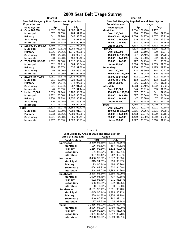|              | Chart 11                                                      |        |        |        |              |  |  |  |
|--------------|---------------------------------------------------------------|--------|--------|--------|--------------|--|--|--|
|              | Seat Belt Usage by Road System and Population<br><b>Usage</b> |        |        |        |              |  |  |  |
|              | <b>Population and</b>                                         |        |        |        |              |  |  |  |
|              | <b>Road System</b>                                            |        | April  | July   |              |  |  |  |
| A            | Over 200,000                                                  | 1,852  | 89.00% |        | 1,888 91.69% |  |  |  |
|              | <b>Municipal</b>                                              | 667    | 87.65% | 764    | 91.28%       |  |  |  |
|              | Primary                                                       | 541    | 87.26% | 545    | 93.32%       |  |  |  |
|              | Secondary                                                     | 75     | 96.15% | 36     | 97.30%       |  |  |  |
|              | <b>Interstate</b>                                             | 569    | 91.48% | 543    | 90.35%       |  |  |  |
| в            | 150,000 TO 199,999                                            | 3.489  | 94.04% | 2.921  | 95.96%       |  |  |  |
|              | <b>Municipal</b>                                              | 1,370  | 92.51% | 1,085  | 95.09%       |  |  |  |
|              | Primary                                                       | 1,026  | 94.56% | 1,075  | 95.56%       |  |  |  |
|              | Secondary                                                     | 440    | 94.83% | 303    | 96.81%       |  |  |  |
|              | <b>Interstate</b>                                             | 653    | 96.03% | 458    | 98.49%       |  |  |  |
| C            | 75,000 TO 149,999                                             | 1,332  | 92.56% | 1,517  | 93.24%       |  |  |  |
|              | <b>Municipal</b>                                              | 532    | 89.71% | 564    | 93.84%       |  |  |  |
|              | Primary                                                       | 429    | 93.87% | 535    | 91.30%       |  |  |  |
|              | Secondary                                                     | 49     | 98.00% | 58     | 96.67%       |  |  |  |
|              | <b>Interstate</b>                                             | 322    | 94.99% | 360    | 94.74%       |  |  |  |
| D            | 25,000 TO 74,999                                              | 1.981  | 91.67% | 2.133  | 92.10%       |  |  |  |
|              | <b>Municipal</b>                                              | 981    | 89.59% | 922    | 89.78%       |  |  |  |
|              | Primary                                                       | 739    | 94.14% | 872    | 94.89%       |  |  |  |
|              | Secondary                                                     | 221    | 93.64% | 267    | 91.75%       |  |  |  |
|              | <b>Interstate</b>                                             | 40     | 88.89% | 72     | 91.14%       |  |  |  |
| Ē            | <b>Under 25,000</b>                                           | 2,859  | 87.94% | 3,100  | 90.62%       |  |  |  |
|              | <b>Municipal</b>                                              | 1,262  | 86.50% | 1.448  | 90.50%       |  |  |  |
|              | Primary                                                       | 1,258  | 87.79% | 1.356  | 90.70%       |  |  |  |
|              | Secondary                                                     | 216    | 95.15% | 201    | 89.33%       |  |  |  |
|              | <b>Interstate</b>                                             | 123    | 93.18% | 95     | 94.06%       |  |  |  |
| <b>Total</b> |                                                               | 11.513 | 91.07% | 11.559 | 92.72%       |  |  |  |
|              | <b>Municipal</b>                                              | 4,812  | 89.29% | 4,783  | 91.87%       |  |  |  |
|              | Primary                                                       | 3,993  | 91.16% | 4,383  | 93.08%       |  |  |  |
|              | Secondary                                                     | 1,001  | 94.88% | 865    | 93.41%       |  |  |  |
|              | <b>Interstate</b>                                             | 1,707  | 93.89% | 1,528  | 93.97%       |  |  |  |

| ੦                                             | Chart 12 |              |        |        |
|-----------------------------------------------|----------|--------------|--------|--------|
| Seat Belt Usage by Population and Road System |          |              |        |        |
| Population and                                |          | <b>Usage</b> |        |        |
| Road System                                   |          | April        |        | July   |
| <b>Municipal</b>                              | 4.514    | 139.45%      | 4.467  |        |
| Over 200,000                                  | 960      | 88.15%       | 974    | 87.99% |
| 150,000 to 199,999                            | 1,000    | 94.97%       | 1,057  | 93.71% |
| 75,000 to 149,999                             | 519      | 96.11%       | 526    | 92.93% |
| 25,000 to 74,999                              | 502      | 90.45%       | 478    | 91.75% |
| <b>Under 25,000</b>                           | 1,533    | 90.44%       | 1,432  | 91.09% |
| Primary                                       | 4,518    | 91.85%       | 4,116  | 93.25% |
| Over 200,000                                  | 303      | 92.10%       | 270    | 95.07% |
| 150,000 to 199,999                            | 857      | 94.49%       | 858    | 94.70% |
| 75,000 to 149,999                             | 545      | 93.00%       | 582    | 91.65% |
| 25,000 to 74,999                              | 727      | 94.29%       | 851    | 95.62% |
| <b>Under 25,000</b>                           | 2,086    | 89.68%       | 1,555  | 91.52% |
| Secondary                                     | 1,250    | 93.63%       | 1,195  | 92.92% |
| Over 200,000                                  | 118      | 83.69%       | 344    | 90.77% |
| 150,000 to 199,999                            | 361      | 93.04%       | 375    | 96.40% |
| 75,000 to 149,999                             | 102      | 100.00%      | 102    | 97.14% |
| 25,000 to 74,999                              | 163      | 90.06%       | 133    | 88.08% |
| <b>Under 25,000</b>                           | 506      | 96.75%       | 241    | 91.98% |
| <b>Interstate</b>                             | 1,203    | 93.40%       | 1,232  | 93.83% |
| Over 200,000                                  | 340      | 90.91%       | 333    | 91.99% |
| 150,000 to 199,999                            | 387      | 96.51%       | 341    | 97.43% |
| 75,000 to 149,999                             | 327      | 95.34%       | 369    | 94.86% |
| 25,000 to 74,999                              | 47       | 90.38%       | 57     | 93.44% |
| <b>Under 25,000</b>                           | 102      | 86.44%       | 132    | 87.42% |
| Total                                         | 11,485   | 92.07%       | 11,010 | 92.47% |
| Over 200,000                                  | 1,721    | 89.03%       | 1,921  | 90.10% |
| 150,000 to 199,999                            | 2,605    | 94.76%       | 2,631  | 94.88% |
| 75,000 to 149,999                             | 1,493    | 95.04%       | 1,579  | 93.16% |
| 25,000 to 74,999                              | 1,439    | 92.30%       | 1,519  | 93.59% |
| <b>Under 25,000</b>                           | 4,227    | 90.67%       | 3,360  | 91.21% |

| Seat Usage by Area of State and Road System |              |               |        |              |  |  |  |
|---------------------------------------------|--------------|---------------|--------|--------------|--|--|--|
| Area of State and                           | <b>Usage</b> |               |        |              |  |  |  |
| <b>Road System</b>                          |              | April         |        | July         |  |  |  |
| <b>Northeast</b>                            |              | 2,470 92.86%  |        | 2.232 93.35% |  |  |  |
| <b>Municipal</b>                            | 136          | 92.52%        | 157    | 97.52%       |  |  |  |
| Primary                                     | 1.216        | 92.54%        |        | 1,132 92.26% |  |  |  |
| Secondary                                   | 151          | 92.07%        | 181    | 97.31%       |  |  |  |
| <b>Interstate</b>                           | 967          | 93.43%        |        | 762 93.27%   |  |  |  |
| <b>Northwest</b>                            |              | 3.486 90.26%  | 2.877  | 90.05%       |  |  |  |
| <b>Municipal</b>                            | 315          | 94.31%        | 296    | 93.97%       |  |  |  |
| Primary                                     |              | 1.173 90.44%  | 486    | 85.26%       |  |  |  |
| Secondary                                   | 654          | 83.21%        | 802    | 84.69%       |  |  |  |
| <b>Interstate</b>                           | 1.344        | 93.01%        | 1,293  | 94.86%       |  |  |  |
| <b>Southeast</b>                            |              | 2,378 93.84%  | 2,350  | 93.29%       |  |  |  |
| <b>Municipal</b>                            | 1.090        | 94.45%        | 707    | 92.18%       |  |  |  |
| Primary                                     | 602          | 93.48%        | 871    | 96.14%       |  |  |  |
| Secondary                                   | 686          | 93.21%        | 772    | 91.25%       |  |  |  |
| <b>Interstate</b>                           | 0            | $0.00\%$      | 0      | $0.00\%$     |  |  |  |
| <b>Southwest</b>                            | 3.151        | 92.19%        | 3.551  | 93.40%       |  |  |  |
| <b>Municipal</b>                            | 1.045        | 96.14%        | 1,299  | 96.72%       |  |  |  |
| Primary                                     | 1.589        | 91.32%        | 1,956  | 91.79%       |  |  |  |
| Secondary                                   | 440          | 87.30%        | 262    | 89.42%       |  |  |  |
| <b>Interstate</b>                           | 77           | 88.51%        | 34     | 97.14%       |  |  |  |
| Total                                       |              | 11,485 92.07% | 11,010 | 92.47%       |  |  |  |
| <b>Municipal</b>                            | 2,586        | 95.00%        | 2,459  | 95.09%       |  |  |  |
| Primary                                     | 4.580        | 91.69%        | 4.445  | 91.95%       |  |  |  |
| Secondary                                   | 1,931        | 88.17%        | 2,017  | 88.78%       |  |  |  |
| <b>Interstate</b>                           | 2,388        | 93.03%        | 2,089  | 94.31%       |  |  |  |

# **Chart 13**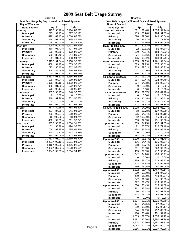| Chart 14                                       |           |                  |                                                                                                                                                                                                                                                                                                                                                           |                  |  |  |  |
|------------------------------------------------|-----------|------------------|-----------------------------------------------------------------------------------------------------------------------------------------------------------------------------------------------------------------------------------------------------------------------------------------------------------------------------------------------------------|------------------|--|--|--|
| Seat Belt Usage by Day of Week and Road System |           |                  |                                                                                                                                                                                                                                                                                                                                                           |                  |  |  |  |
| Day of Week and                                |           |                  |                                                                                                                                                                                                                                                                                                                                                           |                  |  |  |  |
| <b>Road System</b>                             |           | April            | July                                                                                                                                                                                                                                                                                                                                                      |                  |  |  |  |
| Sunday                                         | 1,973     | 90.46%           |                                                                                                                                                                                                                                                                                                                                                           | 89.59%           |  |  |  |
| <b>Municipal</b>                               | 293       | 92.43%           |                                                                                                                                                                                                                                                                                                                                                           | 95.19%           |  |  |  |
| Primary                                        | 1.428     | 89.47%           |                                                                                                                                                                                                                                                                                                                                                           | 89.07%           |  |  |  |
| Secondary                                      | 228       | 93.44%           |                                                                                                                                                                                                                                                                                                                                                           | 87.65%           |  |  |  |
| <b>Interstate</b>                              | 24        | 100.00%          |                                                                                                                                                                                                                                                                                                                                                           | 86.67%           |  |  |  |
| Monday                                         | 1,398     | 90.72%           |                                                                                                                                                                                                                                                                                                                                                           | 92.71%           |  |  |  |
| <b>Municipal</b>                               | 430       | 96.41%           |                                                                                                                                                                                                                                                                                                                                                           | 95.03%           |  |  |  |
| Primary                                        | 179       | 96.76%           |                                                                                                                                                                                                                                                                                                                                                           | 92.97%           |  |  |  |
| Secondary                                      | 620       | 85.40%           |                                                                                                                                                                                                                                                                                                                                                           | 89.92%           |  |  |  |
| Interstate                                     | 169       | 91.85%           |                                                                                                                                                                                                                                                                                                                                                           | 94.74%           |  |  |  |
| Tuesday                                        | 2,013     | 91.04%           |                                                                                                                                                                                                                                                                                                                                                           | 95.59%           |  |  |  |
| <b>Municipal</b>                               | 406       | 94.42%           |                                                                                                                                                                                                                                                                                                                                                           | 98.16%           |  |  |  |
| Primary                                        | 273       | 90.40%           |                                                                                                                                                                                                                                                                                                                                                           | 93.13%           |  |  |  |
| Secondary                                      | 544       | 86.08%           |                                                                                                                                                                                                                                                                                                                                                           | 93.81%           |  |  |  |
| <b>Interstate</b>                              | 790       | 93.27%           |                                                                                                                                                                                                                                                                                                                                                           | 96.16%           |  |  |  |
| Wednesday                                      | 2,652     | 91.51%           |                                                                                                                                                                                                                                                                                                                                                           | 93.51%           |  |  |  |
| <b>Municipal</b>                               | 600       | 94.34%           |                                                                                                                                                                                                                                                                                                                                                           | 92.46%           |  |  |  |
| Primary                                        | 1,076     | 89.15%           |                                                                                                                                                                                                                                                                                                                                                           | 93.35%           |  |  |  |
| Secondary                                      | 406       | 91.65%           |                                                                                                                                                                                                                                                                                                                                                           | 93.77%           |  |  |  |
| <b>Interstate</b>                              | 570       | 93.14%           |                                                                                                                                                                                                                                                                                                                                                           | 95.41%           |  |  |  |
| <b>Thursday</b>                                | 1,005     | 93.23%           |                                                                                                                                                                                                                                                                                                                                                           | 92.23%           |  |  |  |
| <b>Municipal</b>                               | 0         |                  |                                                                                                                                                                                                                                                                                                                                                           | $0.00\%$         |  |  |  |
| Primary                                        | 546       | 91.76%           |                                                                                                                                                                                                                                                                                                                                                           | 90.23%           |  |  |  |
| Secondary                                      | 0<br>459  |                  |                                                                                                                                                                                                                                                                                                                                                           | 0.00%            |  |  |  |
| <b>Interstate</b>                              |           | 95.03%<br>89.55% | Usage<br>2.194<br>297<br>1.516<br>355<br>26<br>1,411<br>497<br>172<br>544<br>198<br>2,168<br>533<br>312<br>546<br>777<br>2,666<br>589<br>1,152<br>572<br>353<br>748<br>$0.00\%$<br>0<br>351<br>0.00%<br>0<br>397<br>788<br>241<br>90.87%<br>218<br>18<br>92.63%<br>311<br>1,584<br>124<br>695<br>193<br>572<br>11,559<br>2,281<br>4,416<br>2,228<br>2,634 | 94.08%<br>93.59% |  |  |  |
| Friday                                         | 917'      |                  |                                                                                                                                                                                                                                                                                                                                                           |                  |  |  |  |
| <b>Municipal</b>                               | 291       | 84.35%           |                                                                                                                                                                                                                                                                                                                                                           | 94.51%           |  |  |  |
| Primary                                        | 209<br>15 | 100.00%          |                                                                                                                                                                                                                                                                                                                                                           | 93.56%<br>94.74% |  |  |  |
| Secondary                                      | 402       |                  |                                                                                                                                                                                                                                                                                                                                                           | 92.84%           |  |  |  |
| Interstate                                     | 1,555     | 90.99%           |                                                                                                                                                                                                                                                                                                                                                           | 91.88%           |  |  |  |
| <b>Saturday</b>                                | 181       | 95.26%           |                                                                                                                                                                                                                                                                                                                                                           | 93.23%           |  |  |  |
| <b>Municipal</b>                               | 704       | 92.75%           |                                                                                                                                                                                                                                                                                                                                                           | 96.26%           |  |  |  |
| Primary<br>Secondary                           | 220       | 79.71%           |                                                                                                                                                                                                                                                                                                                                                           | 76.28%           |  |  |  |
| <b>Interstate</b>                              | 450       | 92.98%           |                                                                                                                                                                                                                                                                                                                                                           | 92.86%           |  |  |  |
|                                                | 11,513    | 91.07%           |                                                                                                                                                                                                                                                                                                                                                           | 92.72%           |  |  |  |
| <b>Total</b><br><b>Municipal</b>               | 2,201     | 93.10%           |                                                                                                                                                                                                                                                                                                                                                           | 94.92%           |  |  |  |
| Primary                                        | 4,415     | 90.58%           |                                                                                                                                                                                                                                                                                                                                                           | 92.00%           |  |  |  |
| Secondary                                      | 2,033     | 87.03%           |                                                                                                                                                                                                                                                                                                                                                           | 90.06%           |  |  |  |
| Interstate                                     | 2,864     | 93.35%           |                                                                                                                                                                                                                                                                                                                                                           | 94.41%           |  |  |  |
|                                                |           |                  |                                                                                                                                                                                                                                                                                                                                                           |                  |  |  |  |

| Chart 15                                       |            |                  |            |                  |  |  |  |  |
|------------------------------------------------|------------|------------------|------------|------------------|--|--|--|--|
| Seat Belt Usage by Time of Day and Road System |            |                  |            |                  |  |  |  |  |
| Time of Day and                                | Usage      |                  |            |                  |  |  |  |  |
| <b>Road System</b>                             | 861        | April<br>91.40%  | 1,099      | July<br>94.74%   |  |  |  |  |
| 7 a.m. to 7:59 a.m.<br><b>Municipal</b>        | 113        | 86.26%           | 184        | 91.09%           |  |  |  |  |
| Primary                                        | 598        | 92.00%           | 748        | 96.64%           |  |  |  |  |
| Secondary                                      | 26         | 86.67%           | 21         | 77.78%           |  |  |  |  |
| <b>Interstate</b>                              | 124        | 94.66%           | 146        | 92.99%           |  |  |  |  |
| 8 a.m. to 8:59 a.m.                            | 461        | 82.32%           | 500        | 84.75%           |  |  |  |  |
| <b>Municipal</b>                               | 72         | 93.51%           | 90         | 94.74%           |  |  |  |  |
| Primary                                        | 210        | 73.94%           | 184        | 76.03%           |  |  |  |  |
| Secondary                                      | 74         | 89.16%           | 88         | 93.62%           |  |  |  |  |
| <b>Interstate</b>                              | 105        | 90.52%           | 138        | 86.79%           |  |  |  |  |
| 9 a.m. to 9:59 a.m.                            | 1,215      | 92.19%           | 1,261      | 92.04%           |  |  |  |  |
| <b>Municipal</b>                               | 579        | 92.79%           | 676        | 90.01%           |  |  |  |  |
| Primary                                        | 213        | 92.61%           | 188        | 96.91%           |  |  |  |  |
| Secondary                                      | 77         | 100.00%          | 52         | 94.55%           |  |  |  |  |
| Interstate                                     | 346        | 89.41%           | 345        | 93.24%           |  |  |  |  |
| 10 a.m. to 10:59 a.m.                          | 941        | 93.91%           | 932        | 94.14%           |  |  |  |  |
| <b>Municipal</b>                               | 367        | 92.44%           | 324        | 94.46%           |  |  |  |  |
| Primary                                        | 574        | 94.88%           | 608        | 93.97%           |  |  |  |  |
| Secondary                                      | 0          | $0.00\%$         | 0          | 0.00%            |  |  |  |  |
| <b>Interstate</b>                              | 0          | $0.00\%$         | 0          | 0.00%            |  |  |  |  |
| 11 a.m. to 11:59 a.m.                          | 463        | 81.37%           | 439        | 87.28%           |  |  |  |  |
| <b>Municipal</b>                               | 0          | $0.00\%$         | 0          | 0.00%            |  |  |  |  |
| Primary                                        | 119        | 90.15%           | 221        | 96.51%           |  |  |  |  |
| Secondary                                      | 170        | 79.07%           | 128        | 72.73%           |  |  |  |  |
| Interstate                                     | 174        | 78.38%           | 90         | 91.84%           |  |  |  |  |
| 12 p.m. to 12:59 p.m.                          | 1,018      | 94.00%           |            | 1,002 95.07%     |  |  |  |  |
| <b>Municipal</b>                               | 88         | 97.78%           | 127        | 93.38%           |  |  |  |  |
| Primary                                        | 605        | 94.24%           | 569        | 95.15%           |  |  |  |  |
| Secondary                                      | 12         | 100.00%          | 15         | 83.33%           |  |  |  |  |
| Interstate                                     | 313        | 92.33%           | 291        | 96.36%           |  |  |  |  |
| 1 p.m. to 1:59 p.m                             | 733        | 84.25%           | 737        | 91.33%           |  |  |  |  |
| <b>Municipal</b>                               | 91         | 60.67%           | 110        | 77.46%           |  |  |  |  |
| Primary                                        | 454        | 86.64%           | 389        | 95.58%           |  |  |  |  |
| Secondary                                      | 0          | $0.00\%$         | 0          | $0.00\%$         |  |  |  |  |
| <b>Interstate</b>                              | 188        | 95.92%           | 238        | 92.25%           |  |  |  |  |
| 2 p.m. to 2:59 p.m                             | 1,530      | 91.67%           | 1.445      | 91.40%           |  |  |  |  |
| <b>Municipal</b>                               | 136        | 94.44%           | 135        | 95.74%<br>90.29% |  |  |  |  |
| Primary                                        | 588<br>391 | 89.77%<br>95.83% | 530<br>368 | 92.23%           |  |  |  |  |
| Secondary<br><b>Interstate</b>                 | 415        | 89.83%           | 412        | 90.75%           |  |  |  |  |
|                                                | 542        | 94.76%           | 439        | 96.91%           |  |  |  |  |
| 3 p.m. to 3:59 p.m<br><b>Municipal</b>         | 0          | $0.00\%$         | 0          | $0.00\%$         |  |  |  |  |
| Primary                                        | 259        | 93.17%           | 219        | 95.22%           |  |  |  |  |
| Secondary                                      | 124        | 95.38%           | 123        | 99.19%           |  |  |  |  |
| <b>Interstate</b>                              | 159        | 96.95%           | 97         | 97.98%           |  |  |  |  |
| 4 p.m. to 4:59 p.m                             | 1,512      | 91.47%           | 1,467      | 93.14%           |  |  |  |  |
| <b>Municipal</b>                               | 279        | 93.00%           | 294        | 94.23%           |  |  |  |  |
| Primary                                        | 419        | 91.29%           | 413        | 90.77%           |  |  |  |  |
| Secondary                                      | 542        | 91.86%           | 341        | 96.33%           |  |  |  |  |
| Interstate                                     | 272        | 89.47%           | 419        | 92.29%           |  |  |  |  |
| 5 p.m. to 5:59 p.m                             | 560        | 93.49%           | 513        | 94.30%           |  |  |  |  |
| <b>Municipal</b>                               | 362        | 92.58%           | 353        | 92.65%           |  |  |  |  |
| Primary                                        | 96         | 94.12%           | 97         | 97.98%           |  |  |  |  |
| Secondary                                      | 102        | 96.23%           | 63         | 98.44%           |  |  |  |  |
| Interstate                                     | 0          | $0.00\%$         | 0          | $0.00\%$         |  |  |  |  |
| 6 p.m. to 6:59 p.m.                            | 1,677      | 92.91%           | 1,725      | 93.75%           |  |  |  |  |
| <b>Municipal</b>                               | 104        | 94.55%           | 97         | 96.04%           |  |  |  |  |
| Primary                                        | 839        | 92.10%           | 985        | 95.17%           |  |  |  |  |
| Secondary                                      | 544        | 92.99%           | 492        | 89.62%           |  |  |  |  |
| Interstate                                     | 190        | 95.48%           | 151        | 97.42%           |  |  |  |  |
| Total                                          | 11,513     | 91.07%           | 11,559     | 92.72%           |  |  |  |  |
| <b>Municipal</b>                               | 2,191      | 90.76%           | 2,390      | 91.78%           |  |  |  |  |
| Primary                                        | 4,974      | 90.90%           | 5,151      | 93.71%           |  |  |  |  |
| Secondary                                      | 2,062      | 92.22%           | 1,691      | 90.91%           |  |  |  |  |
| Interstate                                     | 2,286      | 90.71%           | 2,327      | 92.86%           |  |  |  |  |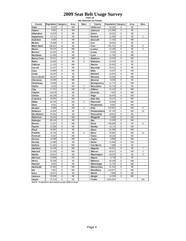**Chart 16 Site Selection by County**

| County          | Population Category |   | Area      | <b>Sites</b>   | County          | Population Category |                | Area      | <b>Sites</b>   |
|-----------------|---------------------|---|-----------|----------------|-----------------|---------------------|----------------|-----------|----------------|
| Adair           | 8,243               | E | SW        |                | Jefferson       | 16,181              | E              | <b>SE</b> |                |
| Adams           | 4,482               | E | SW        |                | Johnson         | 111,006             | $\overline{c}$ | <b>SE</b> |                |
| Allamakee       | 14,675              | Ε | <b>NE</b> |                | Jones           | 20,221              | E              | <b>SE</b> |                |
| Appanoose       | 13,721              | E | <b>SE</b> |                | Keokuk          | 11,400              | E              | <b>SE</b> | 1              |
| Audubon         | 6.830               | E | SW        |                | Kossuth         | 17,163              | E              | <b>NW</b> |                |
| Benton          | 25,308              | E | <b>NE</b> |                | Lee             | 38,052              | D              | <b>SE</b> |                |
| Black Hawk      | 128,012             | B | <b>NE</b> |                | Linn            | 191,701             | B              | <b>NE</b> | 9              |
| Boone           | 26,224              | D | <b>NW</b> |                | Louisa          | 12,183              | E              | <b>SE</b> | 3              |
| Bremer          | 23,325              | B | <b>NE</b> |                | Lucas           | 9,422               | E              | <b>SE</b> |                |
| <b>Buchanan</b> | 21,093              | E | <b>NE</b> |                | Lyon            | 11,763              | E              | <b>NW</b> |                |
| Buena Vista     | 20,411              | E | <b>NW</b> | 5              | Madison         | 14,019              | E              | SW        |                |
| <b>Butler</b>   | 15,305              | E | <b>NE</b> | 5              | Mahaska         | 22,335              | E              | <b>SE</b> |                |
| Calhoun         | 11,115              | E | <b>NW</b> |                | Marion          | 32,052              | D              | <b>SE</b> |                |
| Carroll         | 21,421              | E | <b>NE</b> |                | Marshall        | 39,311              | D              | <b>NE</b> |                |
| Cass            | 14,684              | E | SW        |                | <b>Mills</b>    | 14,547              | E              | SW        |                |
| Cedar           | 18,187              | Ε | <b>SE</b> |                | Mitchell        | 10,874              | E              | <b>NE</b> |                |
| Cerro Gordo     | 46,447              | D | <b>NE</b> |                | Monona          | 10,020              | E              | <b>NW</b> |                |
| Cherokee        | 13,035              | E | <b>NW</b> |                | Monroe          | 8,016               | E              | <b>SE</b> |                |
| Chickasaw       | 13,095              | E | <b>NE</b> |                | Montgomery      | 11,771              | E              | SW        |                |
| Clarke          | 9,133               | E | SW        | $\overline{2}$ | Muscatine       | 41,722              | E              | <b>SE</b> |                |
| Clay            | 17,372              | E | <b>NW</b> | $\overline{7}$ | O'Brien         | 15,102              | E              | <b>NW</b> |                |
| Clayton         | 18,678              | E | <b>NE</b> |                | Osceola         | 7,003               | E              | <b>NW</b> |                |
| Clinton         | 50,149              | D | <b>SE</b> |                | Page            | 16,976              | E              | SW        |                |
| Crawford        | 16,942              | E | <b>NW</b> |                | Palo Alto       | 10,147              | E              | <b>NW</b> |                |
| Dallas          | 40,750              | Α | SW        | $\overline{2}$ | <b>Plymouth</b> | 24,849              | Ē              | <b>NW</b> |                |
| Davis           | 8,541               | E | <b>SE</b> |                | Pocahontas      | 8,662               | E              | <b>NW</b> |                |
| <b>Decatur</b>  | 8,689               | E | SW        | 6              | Polk            | 374,601             | Α              | SW        | 9              |
| Delaw are       | 18,404              | E | <b>NE</b> |                | Pottaw attamie  | 87,704              | C              | SW        | 12             |
| Des Moines      | 42,351              | D | <b>SE</b> |                | Poweshiek       | 18,815              | E              | <b>SE</b> |                |
| Dickinson       | 16,424              | Ē | <b>NW</b> |                | Ringgold        | 5,469               | E              | SW        |                |
| Dubuque         | 89,143              | C | <b>NE</b> |                | Sac             | 11,529              | E              | <b>NW</b> |                |
| Emmet           | 11.027              | E | <b>NW</b> |                | <b>Scott</b>    | 158.668             | B              | <b>SE</b> | 8              |
| Fayette         | 22.008              | D | <b>NE</b> |                | Shelby          | 13,173              | E              | SW        |                |
| Floyd           | 16,900              | E | <b>NE</b> |                | Sioux           | 31,589              | D              | <b>NW</b> |                |
| Franklin        | 10,704              | E | <b>NE</b> | 6              | Story           | 79,981              | D              | <b>NW</b> | 12             |
| Fremont         | 8,010               | E | SW        |                | Tama            | 18,103              | E              | <b>NE</b> |                |
| Greene          | 10,366              | E | <b>NW</b> |                | <b>Taylor</b>   | 6,958               | E              | SW        |                |
| Grundy          | 12,369              | E | <b>NE</b> |                | Union           | 12,309              | E              | SW        |                |
| Guthrie         | 11,353              | Ē | <b>NW</b> |                | Van Buren       | 7,809               | Ē              | <b>SE</b> |                |
| Ham ilton       | 16,438              | E | <b>NW</b> |                | Wapello         | 36,051              | D              | <b>SE</b> | $\overline{7}$ |
| Hancock         | 12,100              | E | <b>NW</b> |                | Warren          | 40,671              | Α              | SW        | 2              |
| Hardin          | 18,812              | E | <b>NE</b> |                | Washington      | 20,670              | E              | <b>SE</b> | $\overline{4}$ |
| Harrison        | 15,666              | E | SW        |                | Wayne           | 6,730               | E              | <b>SE</b> |                |
| Henry           | 20,336              | Ε | <b>SE</b> |                | .<br>Webster    | 40,235              | D              | <b>NW</b> |                |
| <b>Howard</b>   | 9,932               | E | <b>NE</b> |                | Winnebago       | 11,723              | E              | <b>NW</b> |                |
| Hum boldt       | 10,381              | E | <b>NW</b> |                | Winneshiek      | 21,310              | E              | <b>NE</b> |                |
| Ida             | 7,837               | E | <b>NW</b> |                | Woodbury        | 103,877             | C              | <b>NW</b> |                |
| low a           | 15,671              | E | <b>SE</b> |                | Worth           | 7,909               | E              | <b>NE</b> |                |
| Jackson         | 20,296              | E | <b>NE</b> |                | Wright          | 14,334              | E              | <b>NW</b> |                |
| Jasper          | 37,213              | D | <b>SE</b> |                | <b>Totals</b>   | 2,926,324           |                |           | 100            |
|                 |                     |   |           |                |                 |                     |                |           |                |

**NOTE: Population data based on the 2000 Census**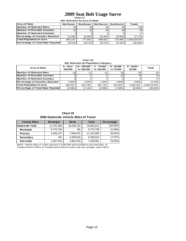**Chart 17 Site Selection by Area of State**

| <b>Area of State</b>                   | <b>Northeast</b> | Southeast | <b>Northwest</b> | <b>Southwest</b> | <b>Totals</b> |  |
|----------------------------------------|------------------|-----------|------------------|------------------|---------------|--|
| <b>INumber of Selected Sites</b>       | 20               | 23        | 241              | 33               | 100           |  |
| <b>INumber of Possible Counties</b>    | 25 <sub>1</sub>  | 25        | 29               | <b>20</b>        | 99            |  |
| <b>Number of Selected Counties</b>     |                  |           |                  |                  | 17            |  |
| <b>Percentage of Counties Selected</b> | 12.00%           | 16.00%    | 10.34%           | 30.00%           | 17.17%        |  |
| <b>Total Population in Area</b>        | 835.135          | 777.502   | 599.002          | 714.685          | 2.926.324.00  |  |
| Percentage of Total State Population   | 28.54%           | 26.57%    | 20.47%           | 24.42%           | 100.00%       |  |

**Chart 18**

| Site Selection by Population Category  |                     |                           |                            |                           |                     |                 |  |  |  |  |
|----------------------------------------|---------------------|---------------------------|----------------------------|---------------------------|---------------------|-----------------|--|--|--|--|
| Area of State                          | A - Over<br>200.000 | B - 150.000<br>to 200,000 | $C - 75.000$<br>to 150,000 | $D - 25.000$<br>to 75,000 | E - Under<br>25.000 | Total           |  |  |  |  |
| Number of Selected Sites               | 131                 |                           |                            | 19 <sub>1</sub>           | 39                  | 61              |  |  |  |  |
| Number of Possible Counties            |                     |                           |                            | 13 <sub>1</sub>           | 75                  | 24 <sup>1</sup> |  |  |  |  |
| Number of Selected Counties            |                     |                           |                            |                           |                     | 17              |  |  |  |  |
| <b>Percentage of Counties Selected</b> | $3.00\%$            | 2.00%                     | 1.00%                      | 2.00%                     | 9.00%               | 17.00%          |  |  |  |  |
| <b>Total Population in Area</b>        | 456.022             | 501.706                   | 391.730                    | 521.663                   | 1.055.203           | 2.926.324.00    |  |  |  |  |
| Percentage of Total State Population   | 15.58%              | 17.14%                    | 13.39%                     | 17.83%                    | 36.06%              | 100.00%         |  |  |  |  |

**Chart 19 2008 Statewide Vehicle Miles of Travel**

| <b>Vehicle Miles</b>   | <b>Municipal</b> | <b>Rural</b> | <b>Total</b> | Percentage |  |
|------------------------|------------------|--------------|--------------|------------|--|
| <b>Statewide Total</b> | 12,707,290       | 18,246,722   | 30,954,012   | 100.00%    |  |
| <b>Municipal</b>       | 6,775,738        | NA.          | 6,775,738    | 21.89%     |  |
| Primary                | 3,464,137        | 7,846,431    | 11,310,568   | 36.54%     |  |
| Secondary              | <b>NA</b>        | 5,438,615    | 5.438.615    | 17.57%     |  |
| <b>Interstate</b>      | 2,467,415        | 4,961,676    | 7,429,091    | 24.00%     |  |

**NOTE:** Vehicle miles of travel reported in 1,000,000 and provided by the lowa Dept. of Transportation's Office of Transportation Data & counts only cars, pickups, vans & SUVs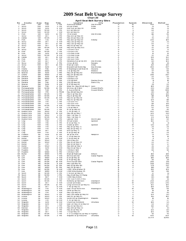## **Chart 20 2009 Seat Belt Usage Survey**

|  | -------- |                             |  |
|--|----------|-----------------------------|--|
|  |          | pril Seat Relt Survey Sites |  |

|                              |                                |                        |                          |                                      |                                               | <b>April Seat Belt Survey Sites</b> |                  |                |            |                |
|------------------------------|--------------------------------|------------------------|--------------------------|--------------------------------------|-----------------------------------------------|-------------------------------------|------------------|----------------|------------|----------------|
| Νo                           | County                         | Area                   | Day                      | Time                                 | Location                                      | City                                | Population       | System         | Observed   | <b>Belted</b>  |
| -1                           | Polk                           | SW                     | TUË                      | 5 PM                                 | Aurora @ Beaver                               | Des Moines                          | А                | м              | 494        | 450            |
| $\overline{\mathbf{c}}$<br>з | Story<br>Story                 | <b>NW</b><br><b>NW</b> | <b>SUN</b><br><b>SUN</b> | 5 PM<br>8<br>AM                      | 6th @ Grand<br>Duff Exit @ Hwy 30             | Ames<br><b>A</b> mes                | D<br>D           | м<br>P         | 76<br>86   | 70<br>76       |
| 4                            | Story                          | <b>NW</b>              | <b>MON</b>               | 3<br><b>PM</b>                       | E23 @ Hwy 69                                  |                                     | D                | S              | 84         | 72             |
| 5                            | Story                          | <b>NW</b>              | <b>MON</b>               | $\overline{7}$<br>AM                 | E63 @ Hwy 65                                  |                                     | D                | s              | 22         | 19             |
| 6                            | Polk                           | SW                     | <b>SUN</b>               | 12<br><b>PM</b>                      | 7th & Grand                                   | Des M oines                         | А                | м              | 116        | 96             |
| -7                           | Story                          | <b>NW</b>              | <b>SAT</b>               | PM<br>5                              | Hwy 133 @ Hwy 30                              |                                     | D                | P              | 72         | 70             |
| 8                            | Dallas                         | SW                     | <b>MON</b>               | PM<br>5                              | Hwy 141 @ Hwy 210                             |                                     | Α                | P              | 45         | 44             |
| 9                            | Polk                           | SW                     | TUE                      | 4<br>PM                              | Hwy 160 @ Hwy 69                              | Ankeny                              | Α                | P              | 206        | 184            |
| 10                           | Story                          | <b>NW</b>              | <b>SAT</b>               | 8<br>AM                              | Hwy 210 @ Hwy 65                              |                                     | D                | P              | 29         | 25             |
| 11                           | Story                          | <b>NW</b>              | SAT                      | 12<br>PM                             | Hwy 210 @ Hwy 69                              |                                     | D                | P<br>P         | 83         | 77             |
| 12                           | Story                          | NW<br>SW               | <b>SAT</b><br><b>MON</b> | 12<br><b>PM</b><br>9                 | Hwy 65 @ Hwy 30                               |                                     | D<br>Α           | Р              | 59<br>32   | 52             |
| 13<br>14                     | Polk<br>Story                  | <b>NW</b>              | TUE                      | AM<br>2<br>PM                        | Hwy 945 @ Hwy 931<br>I-35 Exit #123           |                                     | D                |                | 20         | 30<br>17       |
| 15                           | Polk                           | SW                     | <b>MON</b>               | 1 PM                                 | I-35 Exit #92                                 |                                     | A                |                | 70         | 62             |
| 16                           | Polk                           | SW                     | SUN                      | 10<br>AM                             | I-35 Rest Area                                |                                     | Α                |                | 13         | 13             |
| 17                           | Story                          | <b>NW</b>              | <b>MON</b>               | 11<br>AM                             | I-35 Rest Area                                |                                     | D                |                | 32         | 30             |
| 18                           | Dallas                         | SW                     | <b>SAT</b>               | 10<br>AM                             | I-80 Exit # 110                               |                                     | Α                | 1              | 139        | 132            |
| 19                           | Polk                           | SW                     | <b>SAT</b>               | 12<br><b>PM</b>                      | I-80 Exit # 143                               |                                     | А                | -1             | 152        | 133            |
| 20                           | Polk                           | SW                     | SAT                      | <b>PM</b><br>$\mathbf{1}$            | Indianola Ave @ SE 8th                        | Des Moines                          | Α                | м              | 131        | 103            |
| 21                           | Story                          | <b>NW</b>              | <b>SAT</b>               | 3<br><b>PM</b>                       | J Ave. @ 6th                                  | Nevada                              | D                | м              | 50         | 45             |
| 22                           | Story                          | <b>NW</b>              | SAT                      | 10<br>AM                             | Main @ Clark                                  | Ames                                | D                | м              | 154        | 140            |
| 23                           | Polk                           | SW                     | <b>SUN</b>               | PM<br>$\mathbf{1}$                   | Meredith @ Merle Hay                          | Des M oines                         | Α                | м              | 464        | 407            |
| 24                           | Clarke                         | <b>SW</b>              | THU                      | PM<br>6                              | E Washington @ Main St                        | Osceola                             | Е                | M              | 66         | 64             |
| 25                           | Decatur                        | SW                     | WED                      | 2<br>PM                              | J 12 @ Hwy 69                                 | Weldon                              | Е                | P<br>P         | 67         | 60             |
| 26<br>27                     | Warren<br>Clarke               | SW<br>SW               | <b>SUN</b><br>WED        | PM<br>$\mathbf{1}$<br>6 PM           | Hwy 28 @ Hwy 92                               | M artensdale                        | А<br>Е           | P              | 46<br>296  | 45<br>287      |
| 28                           | Decat ur                       | SW                     | <b>SUN</b>               | 10<br>AM                             | Hwy 34 @ Hwy 69<br>I-35 Exit #12              |                                     | Е                | п              | 22         | 22             |
| 29                           | Decat ur                       | SW                     | WED                      | PM<br>4                              | I-35 Exit #22                                 |                                     | Ε                | ı              | 23         | 21             |
| 30                           | Decat ur                       | SW                     | <b>SAT</b>               | 3<br><b>PM</b>                       | J 20 @ R69                                    | Garden Grove                        | Е                | s              | 11         | 10             |
| 31                           | Decat ur                       | SW                     | THU                      | <b>PM</b><br>2                       | J 66 @ Hwy 69                                 | Davis City                          | Е                | s              | o          | $\mathsf o$    |
| 32                           | Warren                         | SW                     | <b>SUN</b>               | 8<br>AM                              | R 57 @ Hwy 92                                 |                                     | А                | S              | 25         | 22             |
| 33                           | Decat ur                       | SW                     | THU                      | <b>PM</b><br>4                       | West Jct. Hwy 69 @ Hwy 2                      | Leon                                | Е                | P              | 103        | 93             |
| 34                           | Pottawattamie                  | SW                     | <b>MON</b>               | <b>PM</b><br>12                      | 9th Ave. @ S 16th                             | Council Bluffs                      | с                | м              | 221        | 213            |
| 35                           | Pottawattamie                  | SW                     | TUE                      | <b>PM</b><br>3                       | A Ave & 25th St                               | Council Bluffs                      | с                | м              | 319        | 306            |
| 36                           | Pottawattamie                  | SW                     | <b>FRI</b>               | PM <sub>M</sub><br>6                 | Hwy 191 @ Hwy 83                              |                                     | с                | P              | 121        | 112            |
| 37                           | Pottawattamie                  | SW                     | <b>MON</b>               | 6<br>PM                              | Hwy 6 @ Hwy 191                               |                                     | С                | P              | 138        | 130            |
| 38                           | Pottawattamie                  | SW                     | <b>MON</b>               | <b>PM</b><br>4                       | Hwy 6 @ Hwy 59                                |                                     | $\mathbf C$      | P              | 118        | 109            |
| 39                           | Pottawattamie                  | SW                     | <b>MON</b>               | 10<br>AM                             | Hwy 83 @ Hwy 59                               |                                     | С                | Р              | 80         | 76             |
| 40                           | Pottawattamie                  | SW                     | TUE                      | 5<br>PM                              | Hwy 92 @ Hwy 59                               |                                     | С                | P              | 129        | 118            |
| 41                           | Pottawattamie                  | SW                     | <b>FRI</b>               | 2 PM                                 | $I-29$ Exit #47                               |                                     | С                | $\blacksquare$ | 94         | 92             |
| 42<br>43                     | Pottawattamie                  | SW<br>SW               | TUE<br><b>MON</b>        | PM<br>$\mathbf{1}$<br>8<br>AM        | I-80 Exit #40                                 |                                     | $\mathbf C$<br>C | H<br>ı         | 114<br>135 | 105            |
| 44                           | Pottawattamie<br>Pottawattamie | SW                     | <b>FRI</b>               | <b>PM</b><br>4                       | I-80 Rest Area<br>L 55 @ Hwy 6                |                                     | C                | s              | 62         | 130<br>62      |
| 45                           | Pottawattamie                  | SW                     | <b>MON</b>               | $\overline{c}$<br><b>PM</b>          | M 16 @ Hwy 92                                 |                                     | с                | s              | 40         | 40             |
| 46                           | Buena Vista                    | <b>NW</b>              | WED                      | <b>PM</b><br>3                       | C 49 @ Hwy 71                                 |                                     | Е                | s              | 402        | 390            |
| 47                           | Buena Vista                    | <b>NW</b>              | <b>MON</b>               | 10<br>AM                             | Hwy 110 @ Hwy 7                               |                                     | Е                | P              | 543        | 481            |
| 48                           | Buena Vista                    | <b>NW</b>              | WED                      | 5<br><b>PM</b>                       | Hwy 7 @ Hwy 71                                |                                     | Е                | P              | 332        | 276            |
| 49                           | Buena Vista                    | <b>NW</b>              | <b>MON</b>               | 12<br><b>PM</b>                      | Hwy 7 @ Hwy 71                                |                                     | Е                | P              | 173        | 166            |
| 50                           | Buena Vista                    | <b>NW</b>              | WED                      | PM<br>$\mathbf{1}$                   | Lake @ Third                                  | Storm Lake                          | Е                | м              | 102        | 94             |
| 51                           | Clay                           | <b>NW</b>              | THU                      | PM<br>6                              | 4th @ Grand                                   | Spencer                             | Е                | м              | 192        | 177            |
| 52                           | Clay                           | <b>NW</b>              | THU                      | 4<br><b>PM</b>                       | B 53 @ Hwy 71                                 |                                     | Е                | s              | 11         | 11             |
| 53                           | Clay                           | <b>NW</b>              | THU                      | 2<br>PM                              | Grand @ 18th                                  | Spencer                             | Е                | м              | 535        | 517            |
| 54                           | Clay                           | <b>NW</b>              | <b>FRI</b>               | PM<br>2                              | Hwy 10 @ Hwy 71                               |                                     | Е                | P              | 28         | 28             |
| 55                           | Clay                           | <b>NW</b>              | <b>FRI</b>               | PM<br>6                              | Hwy 18 @ Hwy 71                               |                                     | Е                | P              | 76         | 72             |
| 56<br>57                     | Clay<br>Clay                   | <b>NW</b><br><b>NW</b> | SAT<br><b>FRI</b>        | <b>PM</b><br>$\mathbf{1}$<br>4<br>PM | B40 @ Hwy 71<br>N 14 @ Hwy 18                 |                                     | Е<br>Е           | P<br>s         | 47<br>30   | 46<br>29       |
| 58                           | Franklin                       | <b>NE</b>              | <b>SUN</b>               | 12<br><b>PM</b>                      | 1st @ 1st Ave                                 | Hampton                             | Е                | м              | 73         | 62             |
| 59                           | Franklin                       | NE                     | <b>FRI</b>               | <b>PM</b><br>2                       | C 25 @ Hwy 65                                 |                                     | Е                | S              | 15         | 14             |
| 60                           | <b>Butler</b>                  | NE                     | <b>SUN</b>               | 10<br>AM                             | C 55 @ Hwy 14                                 |                                     | Ε                | S              | 8          | 6              |
| 61                           | Franklin                       | NE                     | WED                      | 1 PM                                 | S14 & Hwy 107                                 |                                     | Ε                | P              | 45         | 34             |
| 62                           | <b>Butler</b>                  | <b>NE</b>              | WED                      | 4 PM                                 | Hwy 14 @ Hwy 20                               |                                     | Ε                | P              | 43         | 27             |
| 63                           | Butler                         | NE                     | FRI                      | 4<br>PM                              | Hwy 14 @ Hwy 3                                |                                     | Ε                | P              | 60         | 57             |
| 64                           | Butler                         | NE                     | WED                      | 6<br>PM                              | Hwy 188 @ Hwy 3                               |                                     | Ε                | P              | 36         | 31             |
| 65                           | Franklin                       | <b>NE</b>              | <b>SUN</b>               | 8<br>AM                              | Hwy 65 @ Hwy 3                                |                                     | Е                | Р              | 98         | 62             |
| 66                           | Franklin                       | <b>NE</b>              | <b>FRI</b>               | 6<br>PM                              | I-35 Exit #165                                |                                     | Е                |                | 66         | 52             |
|                              | 67 Franklin                    | <b>NE</b>              | WED                      | PM<br>3                              | I-35 Exit #170                                |                                     | Е                |                | 7          | $\overline{7}$ |
| 68                           | Butler<br>69 Linn              | <b>NE</b><br><b>NE</b> | WED<br><b>MON</b>        | PM<br>5<br>7<br>AM                   | Main @ Railroad<br>8th Ave @ 2nd              | Allison<br>Cedar Rapids             | Е<br>в           | м<br>м         | 193<br>259 | 140<br>239     |
| 70                           | Linn                           | <b>NE</b>              | WED                      | 8 AM                                 | E 34 @ Hwy 13                                 |                                     | в                | s              | 190        | 183            |
| 71                           | Linn                           | <b>NE</b>              | <b>MON</b>               | 9<br>AM                              | E 70 @ Hwy 151                                |                                     | в                | S              | 30         | 25             |
| 72                           | Linn                           | <b>NE</b>              | <b>MON</b>               | 10<br>AM                             | First Ave @ 29th                              | Cedar Rapids                        | в                | м              | 266        | 251            |
| 73                           | Linn                           | NE                     | <b>MON</b>               | 8<br>AM                              | Hwy 1 @ Hwy 30                                |                                     | в                | P              | 208        | 201            |
| 74                           | Linn                           | NE                     | <b>MON</b>               | <b>PM</b><br>12                      | Hwy 13 @ Hwy 151                              |                                     | в                | P              | 275        | 257            |
| 75                           | Linn                           | <b>NE</b>              | WED                      | 12<br><b>PM</b>                      | Hwy 30 @ Hwy 1                                |                                     | в                | P              | 185        | 171            |
| 76                           | Linn                           | <b>NE</b>              | <b>MON</b>               | 11 AM                                | I-380 Mile Marker 13                          |                                     | В                | $\mathbf{I}$   | 130        | 124            |
| 77                           | Linn                           | NE                     | WED                      | 11 AM                                | I-380 Mile Marker 25                          |                                     | в                | ı              | 90         | 89             |
| 78                           | Scott                          | <b>SE</b>              | <b>MON</b>               | 5 PM                                 | F 55 Exit @ Hwy 61                            |                                     | в                | Р              | 57         | 51             |
| 79                           | Scott                          | <b>SE</b>              | <b>MON</b>               | 1 PM                                 | Hwy 61 @ Hwy 22 Ramp                          |                                     | в                | P              | 80         | 77             |
| 80                           | Scott                          | <b>SE</b>              | <b>SAT</b>               | 7 AM                                 | I-280 Hwy 61 Exit<br>I-80 Exit #284 (Y40)     |                                     | В<br>в           | п<br>H         | 121        | 119            |
| 81<br>82                     | Scott<br>Scott                 | <b>SE</b><br><b>SE</b> | <b>MON</b><br><b>MON</b> | 8<br>AM<br>3<br>PM                   | Kimberly @ Harrison                           | Davenport                           | в                | м              | 60<br>268  | 55<br>265      |
| 83                           | Scott                          | <b>SE</b>              | <b>SAT</b>               | 9<br>AM                              | Locust @ Brady                                | Davenport                           | В                | м              | 260        | 245            |
| 84                           | Scott                          | <b>SE</b>              | <b>MON</b>               | PM<br>12                             | Long Grove Exit @ Hwy 61                      |                                     | в                | P              | 102        | 100            |
| 85                           | Scott                          | <b>SE</b>              | <b>SAT</b>               | 11 AM                                | Y 48 @ Hwy 61                                 |                                     | в                | s              | 168        | 153            |
| 86                           | Washington                     | SE                     | <b>FRI</b>               | 9<br>AM                              | East 7th @ North 4th                          | Washington                          | Е                | м              | 116        | 99             |
| 87                           | Washington                     | <b>SE</b>              | <b>SUN</b>               | 9<br>AM                              | G6W @ Hwy 92                                  |                                     | Е                | s              | 19         | 19             |
| 88                           | Washington                     | <b>SE</b>              | <b>FRI</b>               | 7 AM                                 | Hwy 1 @ Hwy 92                                |                                     | Ε                | P              | 90         | 85             |
| 89                           | Washington                     | <b>SE</b>              | WED                      | <b>PM</b><br>6                       | Hwy 218 Ramp @ Hwy 92                         |                                     | Е                | P              | 124        | 121            |
| 90                           | Louisa                         | <b>SE</b>              | WED                      | <b>PM</b><br>4                       | Hwy 92 @ Hwy 61                               |                                     | Е                | P              | 165        | 160            |
| 91                           | Louisa                         | <b>SE</b>              | WED                      | $\overline{2}$<br><b>PM</b>          | South 4th @ Washington                        | Wapello                             | Е                | м              | 18         | 16             |
| 92                           | Louisa                         | <b>SE</b>              | <b>FRI</b>               | 11 AM                                | X 43 @ Hwy 92                                 |                                     | Ε                | s              | 27         | 27             |
| 93<br>94                     | Wapello<br>Wapello             | <b>SE</b><br><b>SE</b> | <b>SUN</b><br>SUN        | 11 AM<br>7 AM                        | Church @ Richmond<br>East Jct Hwy 34 & Hwy 63 | Ottumwa                             | D<br>D           | м<br>P         | 189<br>64  | 171<br>62      |
| 95                           | Wapello                        | <b>SE</b>              | <b>SAT</b>               | 1 PM                                 | Hwy 137@ Hwy 63                               |                                     | D                | Ρ              | 150        | 147            |
| 96                           | Keokuk                         | <b>SE</b>              | <b>SUN</b>               | 9 AM                                 | Hwy 149 @ Hwy 23                              |                                     | D                | P              | 97         | 91             |
| 97                           | Wapello                        | <b>SE</b>              | SAT                      | PM<br>3                              | Hwy 16 @ Hwy 34                               |                                     | D                | P              | 133        | 131            |
| 98                           | Wapello                        | <b>SE</b>              | SAT                      | 5 PM                                 | T 61 @ Hwy 34                                 |                                     | D                | s              | 103        | 99             |
| 99                           | Wapello                        | <b>SE</b>              | <b>MON</b>               | 1 PM                                 | V 37 (College St) @ Hwy 34 Agency             |                                     | D                | s              | 56         | 45             |
|                              | 100 Wapello                    | <b>SE</b>              | <b>MON</b>               | 3 PM                                 | Wapello St @ Albia Rd                         | Ottumwa                             | Е                | м              | 400        | 364            |
|                              |                                |                        |                          |                                      |                                               |                                     |                  |                | 12,474     | 11,485         |